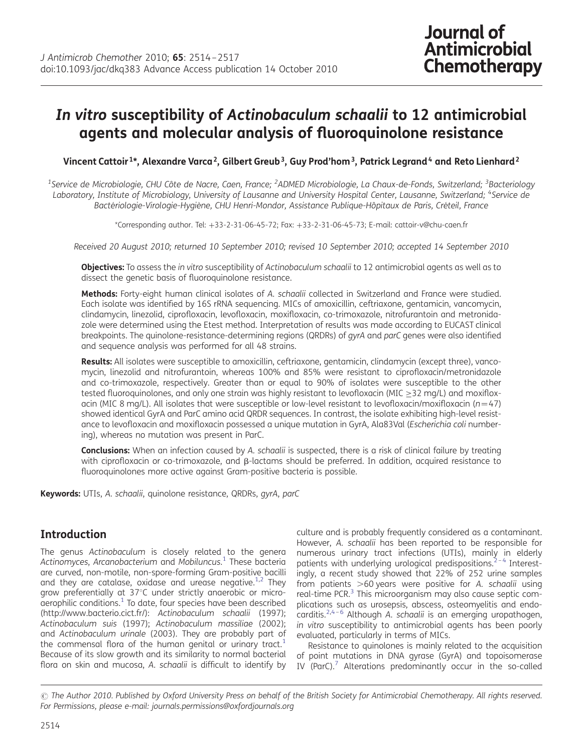# In vitro susceptibility of Actinobaculum schaalii to 12 antimicrobial agents and molecular analysis of fluoroquinolone resistance

Vincent Cattoir <sup>1\*</sup>, Alexandre Varca<sup>2</sup>, Gilbert Greub<sup>3</sup>, Guy Prod'hom<sup>3</sup>, Patrick Legrand<sup>4</sup> and Reto Lienhard<sup>2</sup>

<sup>1</sup>Service de Microbiologie, CHU Côte de Nacre, Caen, France; <sup>2</sup>ADMED Microbiologie, La Chaux-de-Fonds, Switzerland; <sup>3</sup>Bacteriology Laboratory, Institute of Microbiology, University of Lausanne and University Hospital Center, Lausanne, Switzerland; <sup>4</sup>Service de Bactériologie-Virologie-Hygiène, CHU Henri-Mondor, Assistance Publique-Hôpitaux de Paris, Créteil, France

\*Corresponding author. Tel: +33-2-31-06-45-72; Fax: +33-2-31-06-45-73; E-mail: cattoir-v@chu-caen.fr

Received 20 August 2010; returned 10 September 2010; revised 10 September 2010; accepted 14 September 2010

Objectives: To assess the in vitro susceptibility of Actinobaculum schaalii to 12 antimicrobial agents as well as to dissect the genetic basis of fluoroquinolone resistance.

Methods: Forty-eight human clinical isolates of A. schaalii collected in Switzerland and France were studied. Each isolate was identified by 16S rRNA sequencing. MICs of amoxicillin, ceftriaxone, gentamicin, vancomycin, clindamycin, linezolid, ciprofloxacin, levofloxacin, moxifloxacin, co-trimoxazole, nitrofurantoin and metronidazole were determined using the Etest method. Interpretation of results was made according to EUCAST clinical breakpoints. The quinolone-resistance-determining regions (QRDRs) of gyrA and parC genes were also identified and sequence analysis was performed for all 48 strains.

Results: All isolates were susceptible to amoxicillin, ceftriaxone, gentamicin, clindamycin (except three), vancomycin, linezolid and nitrofurantoin, whereas 100% and 85% were resistant to ciprofloxacin/metronidazole and co-trimoxazole, respectively. Greater than or equal to 90% of isolates were susceptible to the other tested fluoroquinolones, and only one strain was highly resistant to levofloxacin (MIC ≥32 mg/L) and moxifloxacin (MIC 8 mg/L). All isolates that were susceptible or low-level resistant to levofloxacin/moxifloxacin ( $n=47$ ) showed identical GyrA and ParC amino acid QRDR sequences. In contrast, the isolate exhibiting high-level resistance to levofloxacin and moxifloxacin possessed a unique mutation in GyrA, Ala83Val (Escherichia coli numbering), whereas no mutation was present in ParC.

Conclusions: When an infection caused by A. schaalii is suspected, there is a risk of clinical failure by treating with ciprofloxacin or co-trimoxazole, and  $\beta$ -lactams should be preferred. In addition, acquired resistance to fluoroquinolones more active against Gram-positive bacteria is possible.

Keywords: UTIs, A. schaalii, quinolone resistance, QRDRs, gyrA, parC

## Introduction

The genus Actinobaculum is closely related to the genera Actinomyces, Arcanobacterium and Mobiluncus. [1](#page-3-0) These bacteria are curved, non-motile, non-spore-forming Gram-positive bacilli and they are catalase, oxidase and urease negative.<sup>[1,2](#page-3-0)</sup> They grow preferentially at 37°C under strictly anaerobic or micro $a$ erophilic conditions. $<sup>1</sup>$  $<sup>1</sup>$  $<sup>1</sup>$  To date, four species have been described</sup> [\(http://www.bacterio.cict.fr/](http://www.bacterio.cict.fr/)): Actinobaculum schaalii (1997); Actinobaculum suis (1997); Actinobaculum massiliae (2002); and Actinobaculum urinale (2003). They are probably part of the commensal flora of the human genital or urinary tract.<sup>[1](#page-3-0)</sup> Because of its slow growth and its similarity to normal bacterial flora on skin and mucosa, A. schaalii is difficult to identify by

culture and is probably frequently considered as a contaminant. However, A. schaalii has been reported to be responsible for numerous urinary tract infections (UTIs), mainly in elderly patients with underlying urological predispositions.<sup>[2](#page-3-0)-[4](#page-3-0)</sup> Interestingly, a recent study showed that 22% of 252 urine samples from patients  $>60$  years were positive for A. schaalii using real-time PCR.<sup>[3](#page-3-0)</sup> This microorganism may also cause septic complications such as urosepsis, abscess, osteomyelitis and endo-carditis.<sup>[2,4](#page-3-0)-[6](#page-3-0)</sup> Although A. schaalii is an emerging uropathogen, in vitro susceptibility to antimicrobial agents has been poorly evaluated, particularly in terms of MICs.

Resistance to quinolones is mainly related to the acquisition of point mutations in DNA gyrase (GyrA) and topoisomerase IV (ParC). $<sup>7</sup>$  $<sup>7</sup>$  $<sup>7</sup>$  Alterations predominantly occur in the so-called</sup>

 $\odot$  The Author 2010. Published by Oxford University Press on behalf of the British Society for Antimicrobial Chemotherapy. All rights reserved. For Permissions, please e-mail: journals.permissions@oxfordjournals.org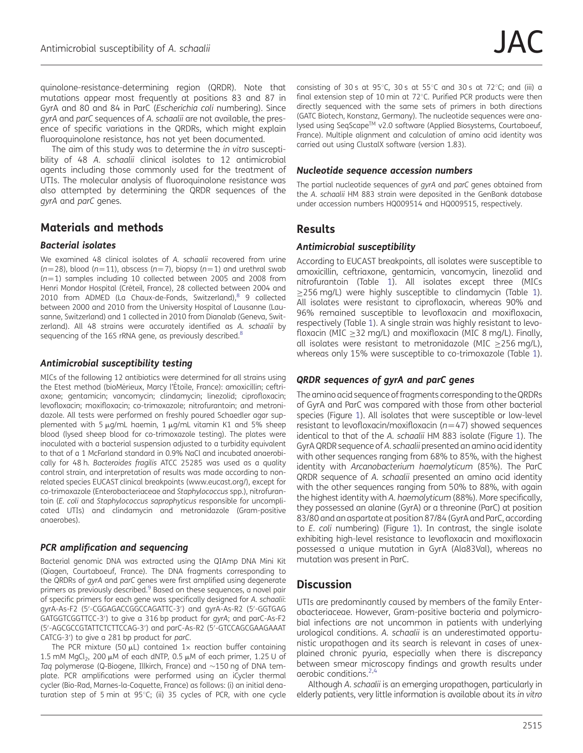quinolone-resistance-determining region (QRDR). Note that mutations appear most frequently at positions 83 and 87 in GyrA and 80 and 84 in ParC (Escherichia coli numbering). Since gyrA and parC sequences of A. schaalii are not available, the presence of specific variations in the QRDRs, which might explain fluoroquinolone resistance, has not yet been documented.

The aim of this study was to determine the in vitro susceptibility of 48 A. schaalii clinical isolates to 12 antimicrobial agents including those commonly used for the treatment of UTIs. The molecular analysis of fluoroquinolone resistance was also attempted by determining the QRDR sequences of the gyrA and parC genes.

## Materials and methods

#### Bacterial isolates

We examined 48 clinical isolates of A. schaalii recovered from urine  $(n=28)$ , blood  $(n=11)$ , abscess  $(n=7)$ , biopsy  $(n=1)$  and urethral swab  $(n=1)$  samples including 10 collected between 2005 and 2008 from Henri Mondor Hospital (Créteil, France), 28 collected between 2004 and 2010 from ADMED (La Chaux-de-Fonds, Switzerland), $8$  9 collected between 2000 and 2010 from the University Hospital of Lausanne (Lausanne, Switzerland) and 1 collected in 2010 from Dianalab (Geneva, Switzerland). All 48 strains were accurately identified as A. schaalii by sequencing of the 16S rRNA gene, as previously described.<sup>[8](#page-3-0)</sup>

#### Antimicrobial susceptibility testing

MICs of the following 12 antibiotics were determined for all strains using the Etest method (bioMérieux, Marcy l'Étoile, France): amoxicillin; ceftriaxone; gentamicin; vancomycin; clindamycin; linezolid; ciprofloxacin; levofloxacin; moxifloxacin; co-trimoxazole; nitrofurantoin; and metronidazole. All tests were performed on freshly poured Schaedler agar supplemented with 5  $\mu$ g/mL haemin, 1  $\mu$ g/mL vitamin K1 and 5% sheep blood (lysed sheep blood for co-trimoxazole testing). The plates were inoculated with a bacterial suspension adjusted to a turbidity equivalent to that of a 1 McFarland standard in 0.9% NaCl and incubated anaerobically for 48 h. Bacteroides fragilis ATCC 25285 was used as a quality control strain, and interpretation of results was made according to nonrelated species EUCAST clinical breakpoints [\(www.eucast.org/](http://www.eucast.org/)), except for co-trimoxazole (Enterobacteriaceae and Staphylococcus spp.), nitrofurantoin (E. coli and Staphylococcus saprophyticus responsible for uncomplicated UTIs) and clindamycin and metronidazole (Gram-positive anaerobes).

### PCR amplification and sequencing

Bacterial genomic DNA was extracted using the QIAmp DNA Mini Kit (Qiagen, Courtaboeuf, France). The DNA fragments corresponding to the QRDRs of gyrA and parC genes were first amplified using degenerate primers as previously described.<sup>9</sup> Based on these sequences, a novel pair of specific primers for each gene was specifically designed for A. schaalii: gyrA-As-F2 (5′ -CGGAGACCGGCCAGATTC-3′ ) and gyrA-As-R2 (5′ -GGTGAG GATGGTCGGTTCC-3′ ) to give a 316 bp product for gyrA; and parC-As-F2 (5′ -AGCGCCGTATTCTCTTCCAG-3′ ) and parC-As-R2 (5′ -GTCCAGCGAAGAAAT CATCG-3′ ) to give a 281 bp product for parC.

The PCR mixture (50  $\mu$ L) contained 1x reaction buffer containing 1.5 mM MgCl<sub>2</sub>, 200  $\mu$ M of each dNTP, 0.5  $\mu$ M of each primer, 1.25 U of Taq polymerase (Q-Biogene, Illkirch, France) and  $\sim$ 150 ng of DNA template. PCR amplifications were performed using an iCycler thermal cycler (Bio-Rad, Marnes-la-Coquette, France) as follows: (i) an initial denaturation step of 5 min at 95 $^{\circ}$ C; (ii) 35 cycles of PCR, with one cycle consisting of 30 s at 95°C, 30 s at 55°C and 30 s at 72°C; and (iii) a final extension step of 10 min at  $72^{\circ}$ C. Purified PCR products were then directly sequenced with the same sets of primers in both directions (GATC Biotech, Konstanz, Germany). The nucleotide sequences were analysed using SegScape™ v2.0 software (Applied Biosystems, Courtaboeuf, France). Multiple alignment and calculation of amino acid identity was carried out using ClustalX software (version 1.83).

#### Nucleotide sequence accession numbers

The partial nucleotide sequences of gyrA and parC genes obtained from the A. schaalii HM 883 strain were deposited in the GenBank database under accession numbers HQ009514 and HQ009515, respectively.

## Results

#### Antimicrobial susceptibility

According to EUCAST breakpoints, all isolates were susceptible to amoxicillin, ceftriaxone, gentamicin, vancomycin, linezolid and nitrofurantoin (Table [1](#page-2-0)). All isolates except three (MICs ≥256 mg/L) were highly susceptible to clindamycin (Table [1\)](#page-2-0). All isolates were resistant to ciprofloxacin, whereas 90% and 96% remained susceptible to levofloxacin and moxifloxacin, respectively (Table [1](#page-2-0)). A single strain was highly resistant to levofloxacin (MIC ≥32 mg/L) and moxifloxacin (MIC 8 mg/L). Finally, all isolates were resistant to metronidazole (MIC  $>$ 256 mg/L), whereas only 15% were susceptible to co-trimoxazole (Table [1\)](#page-2-0).

#### QRDR sequences of gyrA and parC genes

The amino acid sequence of fragments corresponding to the QRDRs of GyrA and ParC was compared with those from other bacterial species (Figure [1\)](#page-2-0). All isolates that were susceptible or low-level resistant to levofloxacin/moxifloxacin ( $n=47$ ) showed sequences identical to that of the A. schaalii HM 883 isolate (Figure [1](#page-2-0)). The GyrA QRDR sequence of A. schaalii presented an amino acid identity with other sequences ranging from 68% to 85%, with the highest identity with Arcanobacterium haemolyticum (85%). The ParC QRDR sequence of A. schaalii presented an amino acid identity with the other sequences ranging from 50% to 88%, with again the highest identity with A. haemolyticum (88%). More specifically, they possessed an alanine (GyrA) or a threonine (ParC) at position 83/80 and an aspartate at position 87/84 (GyrA and ParC, according to E. coli numbering) (Figure [1\)](#page-2-0). In contrast, the single isolate exhibiting high-level resistance to levofloxacin and moxifloxacin possessed a unique mutation in GyrA (Ala83Val), whereas no mutation was present in ParC.

## **Discussion**

UTIs are predominantly caused by members of the family Enterobacteriaceae. However, Gram-positive bacteria and polymicrobial infections are not uncommon in patients with underlying urological conditions. A. schaalii is an underestimated opportunistic uropathogen and its search is relevant in cases of unexplained chronic pyuria, especially when there is discrepancy between smear microscopy findings and growth results under aerobic conditions.<sup>[2](#page-3-0),[4](#page-3-0)</sup>

Although A. schaalii is an emerging uropathogen, particularly in elderly patients, very little information is available about its in vitro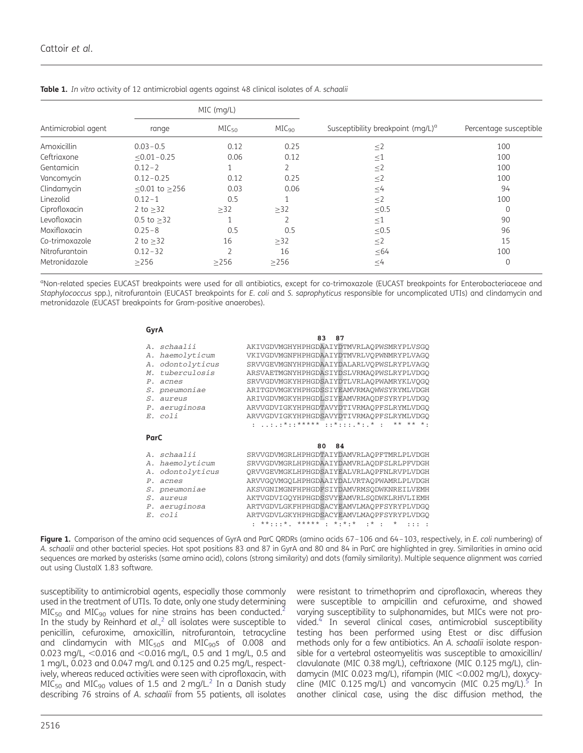|                     | MIC (mg/L)          |                   |                   |                                               |                        |
|---------------------|---------------------|-------------------|-------------------|-----------------------------------------------|------------------------|
| Antimicrobial agent | range               | MIC <sub>50</sub> | MIC <sub>90</sub> | Susceptibility breakpoint (mg/L) <sup>a</sup> | Percentage susceptible |
| Amoxicillin         | $0.03 - 0.5$        | 0.12              | 0.25              | $\leq$ 2                                      | 100                    |
| Ceftriaxone         | $< 0.01 - 0.25$     | 0.06              | 0.12              | $\leq$ 1                                      | 100                    |
| Gentamicin          | $0.12 - 2$          | 1                 | 2                 | $\leq$ 2                                      | 100                    |
| Vancomycin          | $0.12 - 0.25$       | 0.12              | 0.25              | $\leq$ 2                                      | 100                    |
| Clindamycin         | $< 0.01$ to $> 256$ | 0.03              | 0.06              | $\leq$ 4                                      | 94                     |
| Linezolid           | $0.12 - 1$          | 0.5               |                   | $\leq$ 2                                      | 100                    |
| Ciprofloxacin       | 2 to $>32$          | $\geq$ 32         | $\geq$ 32         | $\leq 0.5$                                    | $\Omega$               |
| Levofloxacin        | $0.5$ to $>32$      |                   |                   | $\leq$ 1                                      | 90                     |
| Moxifloxacin        | $0.25 - 8$          | 0.5               | 0.5               | $\leq 0.5$                                    | 96                     |
| Co-trimoxazole      | 2 to $>32$          | 16                | $\geq$ 32         | $\leq$ 2                                      | 15                     |
| Nitrofurantoin      | $0.12 - 32$         | $\overline{2}$    | 16                | $\leq 64$                                     | 100                    |
| Metronidazole       | >256                | >256              | >256              | $\leq 4$                                      | $\Omega$               |

<span id="page-2-0"></span>Table 1. In vitro activity of 12 antimicrobial agents against 48 clinical isolates of A. schaalii

<sup>a</sup>Non-related species EUCAST breakpoints were used for all antibiotics, except for co-trimoxazole (EUCAST breakpoints for Enterobacteriaceae and Staphylococcus spp.), nitrofurantoin (EUCAST breakpoints for E. coli and S. saprophyticus responsible for uncomplicated UTIs) and clindamycin and metronidazole (EUCAST breakpoints for Gram-positive anaerobes).

#### **GyrA**

|                         | 83<br>87                                                                       |
|-------------------------|--------------------------------------------------------------------------------|
| A. schaalii             | AKIVGDVMGHYHPHGDAAIYDTMVRLAQPWSMRYPLVSGO                                       |
| haemolyticum<br>А.      | VKIVGDVMGNFHPHGDAAIYDTMVRLVOPWNMRYPLVAGO                                       |
| odontolyticus<br>Α.     | SRVVGEVMGNYHPHGDAAIYDALARLVQPWSLRYPLVAGQ                                       |
| tuberculosis<br>$M_{-}$ | ARSVAETMGNYHPHGDASIYDSLVRMAOPWSLRYPLVDGO                                       |
| $P_{\perp}$<br>acnes    | SRVVGDVMGKYHPHGDSAIYDTLVRLAOPWAMRYKLVOGO                                       |
| S. pneumoniae           | ARITGDVMGKYHPHGDSSIYEAMVRMAOWWSYRYMLVDGH                                       |
| aureus<br>$S_{-}$       | ARIVGDVMGKYHPHGDLSIYEAMVRMAODFSYRYPLVDGO                                       |
| P. aeruginosa           | ARVVGDVIGKYHPHGDTAVYDTIVRMAOPFSLRYMLVDGO                                       |
| $E.$ $coli$             | ARVVGDVIGKYHPHGDSAVYDTIVRMAOPFSLRYMLVDGO                                       |
|                         | : :.:*::***** ::*:::.*:.* :<br>$******$ **                                     |
|                         |                                                                                |
|                         |                                                                                |
| ParC                    |                                                                                |
|                         | 84<br>80                                                                       |
| A. schaalii             | SRVVGDVMGRLHPHGDTAIYDAMVRLAOPFTMRLPLVDGH                                       |
| haemolyticum<br>А.      | SRVVGDVMGRLHPHGDAAIYDAMVRLAODFSLRLPFVDGH                                       |
| odontolyticus<br>Α.     | ORVVGEVMGKLHPHGDSAIYEALVRLAOPFNLRVPLVDGH                                       |
| acnes<br>$P_{\perp}$    | ARVVGOVMGOLHPHGDAAIYDALVRTAOPWAMRLPLVDGH                                       |
| pneumoniae<br>S.        | AKSVGNIMGNFHPHGDFSIYDAMVRMSODWKNREILVEMH                                       |
| aureus<br>S.            | AKTVGDVIGOYHPHGDSSVYEAMVRLSODWKLRHVLIEMH                                       |
| P. aeruginosa           | ARTVGDVLGKFHPHGDSACYEAMVLMAOPFSYRYPLVDGO                                       |
| E. coli                 | ARTVGDVLGKYHPHGDSACYEAMVLMAOPFSYRYPLVDGO<br>**:::*. ***** : *:*:* :* : * ::: : |

Figure 1. Comparison of the amino acid sequences of GyrA and ParC QRDRs (amino acids 67-106 and 64-103, respectively, in E. coli numbering) of A. schaalii and other bacterial species. Hot spot positions 83 and 87 in GyrA and 80 and 84 in ParC are highlighted in grey. Similarities in amino acid sequences are marked by asterisks (same amino acid), colons (strong similarity) and dots (family similarity). Multiple sequence alignment was carried out using ClustalX 1.83 software.

susceptibility to antimicrobial agents, especially those commonly used in the treatment of UTIs. To date, only one study determining  $MIC<sub>50</sub>$  and MIC<sub>90</sub> values for nine strains has been conducted.<sup>[2](#page-3-0)</sup> In the study by Reinhard et  $al<sub>1</sub>$ <sup>2</sup> all isolates were susceptible to penicillin, cefuroxime, amoxicillin, nitrofurantoin, tetracycline and clindamycin with  $MIC<sub>50</sub>s$  and  $MIC<sub>90</sub>s$  of 0.008 and 0.023 mg/L,  $<$  0.016 and  $<$  0.016 mg/L, 0.5 and 1 mg/L, 0.5 and 1 mg/L, 0.023 and 0.047 mg/L and 0.125 and 0.25 mg/L, respectively, whereas reduced activities were seen with ciprofloxacin, with  $MIC<sub>50</sub>$  and MIC<sub>90</sub> values of 1.5 and [2](#page-3-0) mg/L.<sup>2</sup> In a Danish study describing 76 strains of A. schaalii from 55 patients, all isolates

were resistant to trimethoprim and ciprofloxacin, whereas they were susceptible to ampicillin and cefuroxime, and showed varying susceptibility to sulphonamides, but MICs were not provided[.4](#page-3-0) In several clinical cases, antimicrobial susceptibility testing has been performed using Etest or disc diffusion methods only for a few antibiotics. An A. schaalii isolate responsible for a vertebral osteomyelitis was susceptible to amoxicillin/ clavulanate (MIC 0.38 mg/L), ceftriaxone (MIC 0.125 mg/L), clindamycin (MIC 0.023 mg/L), rifampin (MIC <0.002 mg/L), doxycycline (MIC 0.125 mg/L) and vancomycin (MIC 0.25 mg/L).<sup>5</sup> In another clinical case, using the disc diffusion method, the